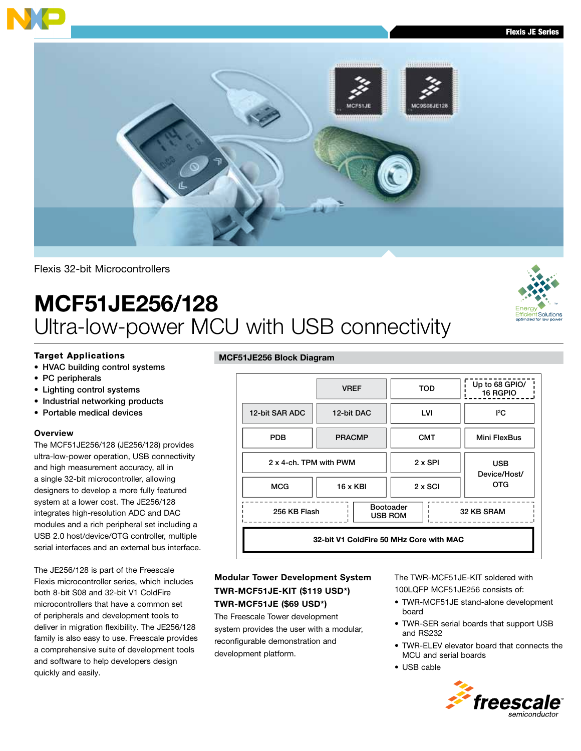

Flexis 32-bit Microcontrollers

# MCF51JE256/128 Ultra-low-power MCU with USB connectivity

## Target Applications

- HVAC building control systems
- PC peripherals
- Lighting control systems
- Industrial networking products
- Portable medical devices

#### **Overview**

The MCF51JE256/128 (JE256/128) provides ultra-low-power operation, USB connectivity and high measurement accuracy, all in a single 32-bit microcontroller, allowing designers to develop a more fully featured system at a lower cost. The JE256/128 integrates high-resolution ADC and DAC modules and a rich peripheral set including a USB 2.0 host/device/OTG controller, multiple serial interfaces and an external bus interface.

The JE256/128 is part of the Freescale Flexis microcontroller series, which includes both 8-bit S08 and 32-bit V1 ColdFire microcontrollers that have a common set of peripherals and development tools to deliver in migration flexibility. The JE256/128 family is also easy to use. Freescale provides a comprehensive suite of development tools and software to help developers design quickly and easily.

#### MCF51JE256 Block Diagram



# Modular Tower Development System TWR-MCF51JE-KIT (\$119 USD\*) TWR-MCF51JE (\$69 USD\*)

The Freescale Tower development system provides the user with a modular, reconfigurable demonstration and development platform.

The TWR-MCF51JE-KIT soldered with 100LQFP MCF51JE256 consists of:

- TWR-MCF51JE stand-alone development board
- TWR-SER serial boards that support USB and RS232
- TWR-ELEV elevator board that connects the MCU and serial boards
- USB cable